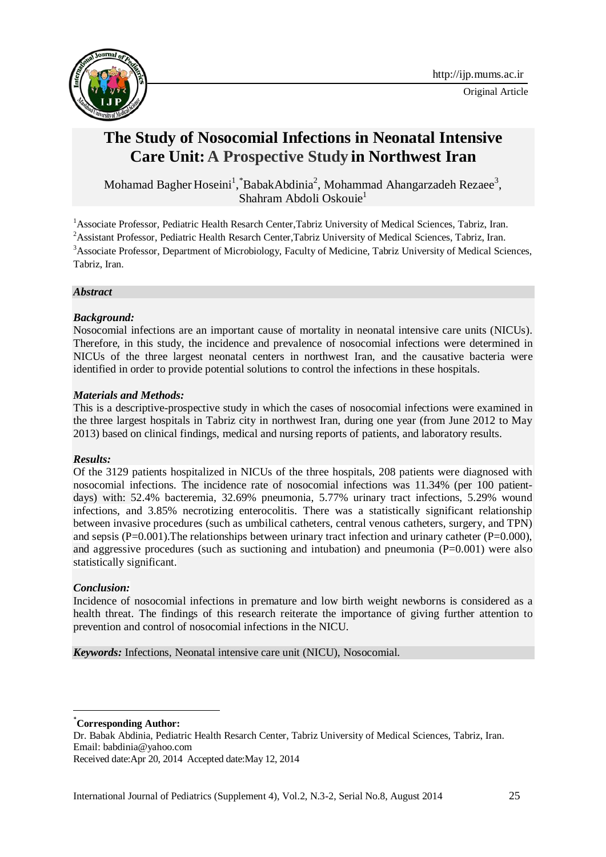



# **The Study of Nosocomial Infections in Neonatal Intensive Care Unit: A Prospective Study in Northwest Iran**

Mohamad Bagher Hoseini<sup>1</sup>, \*BabakAbdinia<sup>2</sup>, Mohammad Ahangarzadeh Rezaee<sup>3</sup>, [Shahram Abdoli Oskouie](http://ijp.mums.ac.ir/?_action=article&au=25646&_au=Shahram++Abdoli+oskouie)<sup>1</sup>

<sup>1</sup> Associate Professor, Pediatric Health Resarch Center, Tabriz University of Medical Sciences, Tabriz, Iran. <sup>2</sup> Assistant Professor, Pediatric Health Resarch Center, Tabriz University of Medical Sciences, Tabriz, Iran. <sup>3</sup>Associate Professor, Department of Microbiology, Faculty of Medicine, Tabriz University of Medical Sciences, Tabriz, Iran.

## *Abstract*

## *Background:*

Nosocomial infections are an important cause of mortality in neonatal intensive care units (NICUs). Therefore, in this study, the incidence and prevalence of nosocomial infections were determined in NICUs of the three largest neonatal centers in northwest Iran, and the causative bacteria were identified in order to provide potential solutions to control the infections in these hospitals.

#### *Materials and Methods:*

This is a descriptive-prospective study in which the cases of nosocomial infections were examined in the three largest hospitals in Tabriz city in northwest Iran, during one year (from June 2012 to May 2013) based on clinical findings, medical and nursing reports of patients, and laboratory results.

# *Results:*

Of the 3129 patients hospitalized in NICUs of the three hospitals, 208 patients were diagnosed with nosocomial infections. The incidence rate of nosocomial infections was 11.34% (per 100 patientdays) with: 52.4% bacteremia, 32.69% pneumonia, 5.77% urinary tract infections, 5.29% wound infections, and 3.85% necrotizing enterocolitis. There was a statistically significant relationship between invasive procedures (such as umbilical catheters, central venous catheters, surgery, and TPN) and sepsis  $(P=0.001)$ . The relationships between urinary tract infection and urinary catheter  $(P=0.000)$ , and aggressive procedures (such as suctioning and intubation) and pneumonia  $(P=0.001)$  were also statistically significant.

# *Conclusion:*

1

Incidence of nosocomial infections in premature and low birth weight newborns is considered as a health threat. The findings of this research reiterate the importance of giving further attention to prevention and control of nosocomial infections in the NICU.

*Keywords:* Infections, Neonatal intensive care unit (NICU), Nosocomial.

\***Corresponding Author:**

Dr. Babak Abdinia, Pediatric Health Resarch Center, Tabriz University of Medical Sciences, Tabriz, Iran. Email: [babdinia@yahoo.com](mailto:babdinia@yahoo.com)

Received date:Apr 20, 2014 Accepted date:May 12, 2014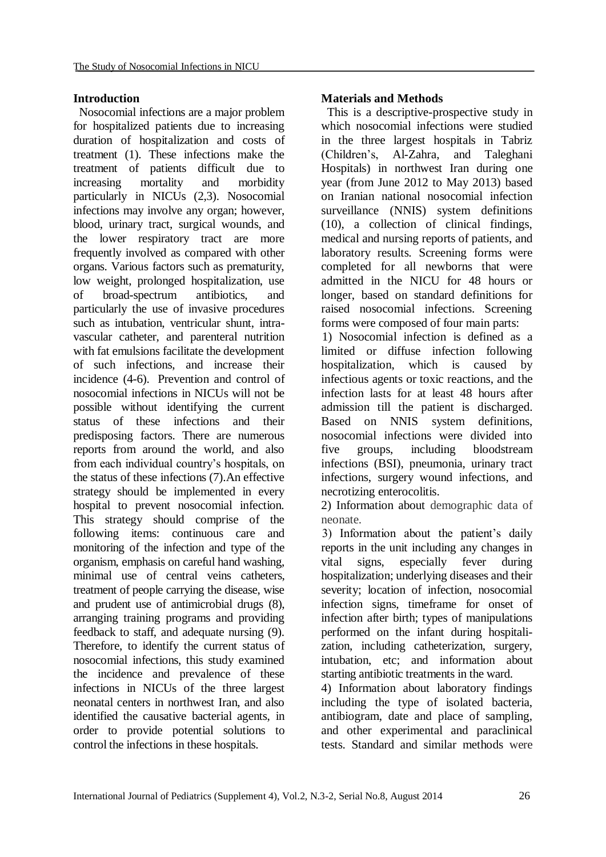### **Introduction**

Nosocomial infections are a major problem for hospitalized patients due to increasing duration of hospitalization and costs of treatment (1). These infections make the treatment of patients difficult due to increasing mortality and morbidity particularly in NICUs (2,3). Nosocomial infections may involve any organ; however, blood, urinary tract, surgical wounds, and the lower respiratory tract are more frequently involved as compared with other organs. Various factors such as prematurity, low weight, prolonged hospitalization, use of broad-spectrum antibiotics, and particularly the use of invasive procedures such as intubation, ventricular shunt, intravascular catheter, and parenteral nutrition with fat emulsions facilitate the development of such infections, and increase their incidence (4-6). Prevention and control of nosocomial infections in NICUs will not be possible without identifying the current status of these infections and their predisposing factors. There are numerous reports from around the world, and also from each individual country's hospitals, on the status of these infections (7).An effective strategy should be implemented in every hospital to prevent nosocomial infection. This strategy should comprise of the following items: continuous care and monitoring of the infection and type of the organism, emphasis on careful hand washing, minimal use of central veins catheters, treatment of people carrying the disease, wise and prudent use of antimicrobial drugs (8), arranging training programs and providing feedback to staff, and adequate nursing (9). Therefore, to identify the current status of nosocomial infections, this study examined the incidence and prevalence of these infections in NICUs of the three largest neonatal centers in northwest Iran, and also identified the causative bacterial agents, in order to provide potential solutions to control the infections in these hospitals.

# **Materials and Methods**

This is a descriptive-prospective study in which nosocomial infections were studied in the three largest hospitals in Tabriz (Children's, Al-Zahra, and Taleghani Hospitals) in northwest Iran during one year (from June 2012 to May 2013) based on Iranian national nosocomial infection surveillance (NNIS) system definitions (10), a collection of clinical findings, medical and nursing reports of patients, and laboratory results. Screening forms were completed for all newborns that were admitted in the NICU for 48 hours or longer, based on standard definitions for raised nosocomial infections. Screening forms were composed of four main parts:

1) Nosocomial infection is defined as a limited or diffuse infection following hospitalization, which is caused by infectious agents or toxic reactions, and the infection lasts for at least 48 hours after admission till the patient is discharged. Based on NNIS system definitions, nosocomial infections were divided into five groups, including bloodstream infections (BSI), pneumonia, urinary tract infections, surgery wound infections, and necrotizing enterocolitis.

2) Information about demographic data of neonate.

3) Information about the patient's daily reports in the unit including any changes in vital signs, especially fever during hospitalization; underlying diseases and their severity; location of infection, nosocomial infection signs, timeframe for onset of infection after birth; types of manipulations performed on the infant during hospitalization, including catheterization, surgery, intubation, etc; and information about starting antibiotic treatments in the ward.

4) Information about laboratory findings including the type of isolated bacteria, antibiogram, date and place of sampling, and other experimental and paraclinical tests. Standard and similar methods were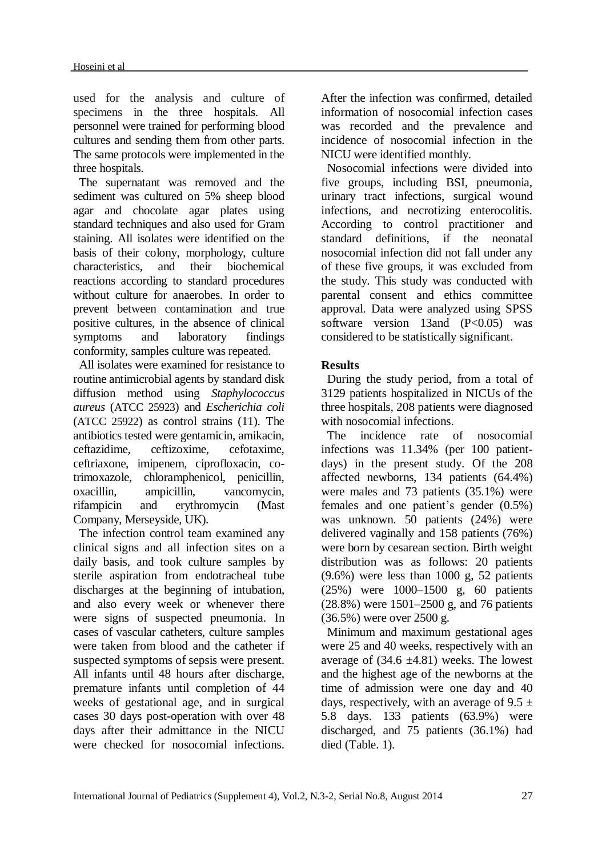used for the analysis and culture of specimens in the three hospitals. All personnel were trained for performing blood cultures and sending them from other parts. The same protocols were implemented in the three hospitals.

The supernatant was removed and the sediment was cultured on 5% sheep blood agar and chocolate agar plates using standard techniques and also used for Gram staining. All isolates were identified on the basis of their colony, morphology, culture characteristics, and their biochemical reactions according to standard procedures without culture for anaerobes. In order to prevent between contamination and true positive cultures, in the absence of clinical symptoms and laboratory findings conformity, samples culture was repeated.

All isolates were examined for resistance to routine antimicrobial agents by standard disk diffusion method using *Staphylococcus aureus* (ATCC 25923) and *Escherichia coli* (ATCC 25922) as control strains (11). The antibiotics tested were gentamicin, amikacin, ceftazidime, ceftizoxime, cefotaxime, ceftriaxone, imipenem, ciprofloxacin, cotrimoxazole, chloramphenicol, penicillin, oxacillin, ampicillin, vancomycin, rifampicin and erythromycin (Mast Company, Merseyside, UK)*.*

The infection control team examined any clinical signs and all infection sites on a daily basis, and took culture samples by sterile aspiration from endotracheal tube discharges at the beginning of intubation, and also every week or whenever there were signs of suspected pneumonia. In cases of vascular catheters, culture samples were taken from blood and the catheter if suspected symptoms of sepsis were present. All infants until 48 hours after discharge, premature infants until completion of 44 weeks of gestational age, and in surgical cases 30 days post-operation with over 48 days after their admittance in the NICU were checked for nosocomial infections.

After the infection was confirmed, detailed information of nosocomial infection cases was recorded and the prevalence and incidence of nosocomial infection in the NICU were identified monthly.

Nosocomial infections were divided into five groups, including BSI, pneumonia, urinary tract infections, surgical wound infections, and necrotizing enterocolitis. According to control practitioner and standard definitions, if the neonatal nosocomial infection did not fall under any of these five groups, it was excluded from the study. This study was conducted with parental consent and ethics committee approval. Data were analyzed using SPSS software version 13and  $(P<0.05)$  was considered to be statistically significant.

## **Results**

During the study period, from a total of 3129 patients hospitalized in NICUs of the three hospitals, 208 patients were diagnosed with nosocomial infections.

The incidence rate of nosocomial infections was 11.34% (per 100 patientdays) in the present study. Of the 208 affected newborns, 134 patients (64.4%) were males and 73 patients (35.1%) were females and one patient's gender (0.5%) was unknown. 50 patients (24%) were delivered vaginally and 158 patients (76%) were born by cesarean section. Birth weight distribution was as follows: 20 patients  $(9.6\%)$  were less than 1000 g, 52 patients (25%) were 1000–1500 g, 60 patients (28.8%) were 1501–2500 g, and 76 patients (36.5%) were over 2500 g.

Minimum and maximum gestational ages were 25 and 40 weeks, respectively with an average of  $(34.6 \pm 4.81)$  weeks. The lowest and the highest age of the newborns at the time of admission were one day and 40 days, respectively, with an average of  $9.5 \pm$ 5.8 days. 133 patients (63.9%) were discharged, and 75 patients (36.1%) had died (Table. 1).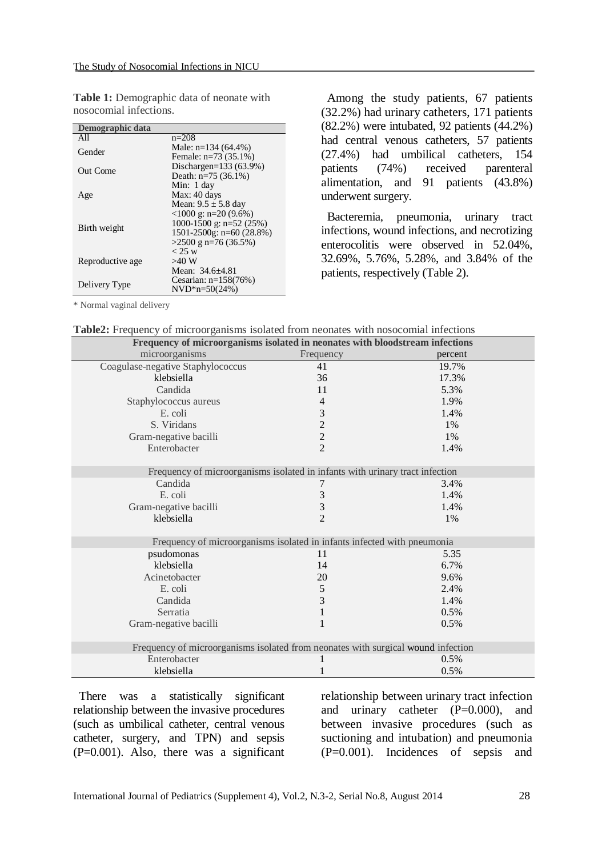| Demographic data |                                                |  |  |  |  |
|------------------|------------------------------------------------|--|--|--|--|
| All              | $n=208$                                        |  |  |  |  |
| Gender           | Male: $n=134(64.4\%)$                          |  |  |  |  |
|                  | Female: $n=73(35.1\%)$                         |  |  |  |  |
| Out Come         | Dischargen= $133(63.9%)$                       |  |  |  |  |
|                  | Death: $n=75(36.1\%)$                          |  |  |  |  |
|                  | Min: 1 day                                     |  |  |  |  |
| Age              | Max: 40 days                                   |  |  |  |  |
|                  | Mean: $9.5 \pm 5.8$ day                        |  |  |  |  |
|                  | $\langle 1000 \text{ g} : \text{n=20} (9.6\%)$ |  |  |  |  |
| Birth weight     | 1000-1500 g: n=52 (25%)                        |  |  |  |  |
|                  | $1501 - 2500$ g: n=60 (28.8%)                  |  |  |  |  |
|                  | $>2500$ g n=76 (36.5%)                         |  |  |  |  |
|                  | < 25 w                                         |  |  |  |  |
| Reproductive age | $>40$ W                                        |  |  |  |  |
|                  | Mean: 34.6+4.81                                |  |  |  |  |
| Delivery Type    | Cesarian: $n=158(76%)$                         |  |  |  |  |
|                  | $NVD*n=50(24%)$                                |  |  |  |  |

**Table 1:** Demographic data of neonate with nosocomial infections.

Among the study patients, 67 patients (32.2%) had urinary catheters, 171 patients (82.2%) were intubated, 92 patients (44.2%) had central venous catheters, 57 patients (27.4%) had umbilical catheters, 154 patients (74%) received parenteral alimentation, and 91 patients (43.8%) underwent surgery.

Bacteremia, pneumonia, urinary tract infections, wound infections, and necrotizing enterocolitis were observed in 52.04%, 32.69%, 5.76%, 5.28%, and 3.84% of the patients, respectively (Table 2).

\* Normal vaginal delivery

| Table2: Frequency of microorganisms isolated from neonates with nosocomial infections |  |  |  |  |  |
|---------------------------------------------------------------------------------------|--|--|--|--|--|
|---------------------------------------------------------------------------------------|--|--|--|--|--|

| Frequency of microorganisms isolated in neonates with bloodstream infections     |                             |         |  |  |  |  |
|----------------------------------------------------------------------------------|-----------------------------|---------|--|--|--|--|
| microorganisms                                                                   | Frequency                   | percent |  |  |  |  |
| Coagulase-negative Staphylococcus                                                | 41                          | 19.7%   |  |  |  |  |
| klebsiella                                                                       | 36                          | 17.3%   |  |  |  |  |
| Candida                                                                          | 11                          | 5.3%    |  |  |  |  |
| Staphylococcus aureus                                                            | 4                           | 1.9%    |  |  |  |  |
| E. coli                                                                          | 3                           | 1.4%    |  |  |  |  |
| S. Viridans                                                                      | $\overline{c}$              | 1%      |  |  |  |  |
| Gram-negative bacilli                                                            | $\overline{c}$              | 1%      |  |  |  |  |
| Enterobacter                                                                     | $\overline{2}$              | 1.4%    |  |  |  |  |
|                                                                                  |                             |         |  |  |  |  |
| Frequency of microorganisms isolated in infants with urinary tract infection     |                             |         |  |  |  |  |
| Candida                                                                          | 7                           | 3.4%    |  |  |  |  |
| E. coli                                                                          | $\ensuremath{\mathfrak{Z}}$ | 1.4%    |  |  |  |  |
| Gram-negative bacilli                                                            | 3                           | 1.4%    |  |  |  |  |
| klebsiella                                                                       | $\overline{2}$              | 1%      |  |  |  |  |
|                                                                                  |                             |         |  |  |  |  |
| Frequency of microorganisms isolated in infants infected with pneumonia          |                             |         |  |  |  |  |
| psudomonas                                                                       | 11                          | 5.35    |  |  |  |  |
| klebsiella                                                                       | 14                          | 6.7%    |  |  |  |  |
| Acinetobacter                                                                    | 20                          | 9.6%    |  |  |  |  |
| E. coli                                                                          | 5                           | 2.4%    |  |  |  |  |
| Candida                                                                          | 3                           | 1.4%    |  |  |  |  |
| Serratia                                                                         | 1                           | 0.5%    |  |  |  |  |
| Gram-negative bacilli                                                            | 1                           | 0.5%    |  |  |  |  |
|                                                                                  |                             |         |  |  |  |  |
| Frequency of microorganisms isolated from neonates with surgical wound infection |                             |         |  |  |  |  |
| Enterobacter                                                                     |                             | 0.5%    |  |  |  |  |
| klebsiella                                                                       | 1                           | 0.5%    |  |  |  |  |

There was a statistically significant relationship between the invasive procedures (such as umbilical catheter, central venous catheter, surgery, and TPN) and sepsis (P=0.001). Also, there was a significant

relationship between urinary tract infection and urinary catheter (P=0.000), and between invasive procedures (such as suctioning and intubation) and pneumonia (P=0.001). Incidences of sepsis and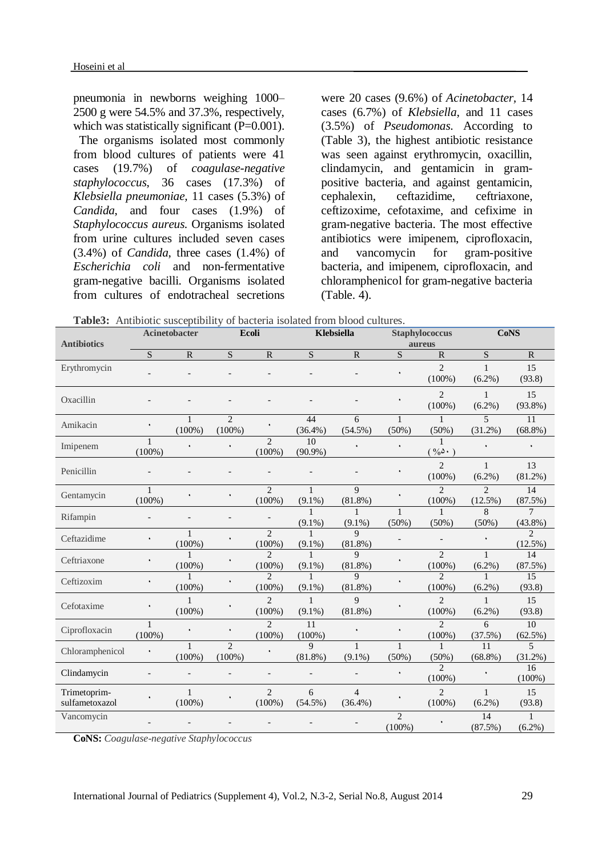pneumonia in newborns weighing 1000– 2500 g were 54.5% and 37.3%, respectively, which was statistically significant (P=0.001).

The organisms isolated most commonly from blood cultures of patients were 41 cases (19.7%) of *coagulase-negative staphylococcus*, 36 cases (17.3%) of *Klebsiella pneumoniae,* 11 cases (5.3%) of *Candida*, and four cases (1.9%) of *Staphylococcus aureus*. Organisms isolated from urine cultures included seven cases (3.4%) of *Candida*, three cases (1.4%) of *Escherichia coli* and non-fermentative gram-negative bacilli. Organisms isolated from cultures of endotracheal secretions were 20 cases (9.6%) of *Acinetobacter,* 14 cases (6.7%) of *Klebsiella*, and 11 cases (3.5%) of *Pseudomonas*. According to (Table 3), the highest antibiotic resistance was seen against erythromycin, oxacillin, clindamycin, and gentamicin in grampositive bacteria, and against gentamicin, cephalexin, ceftazidime, ceftriaxone, ceftizoxime, cefotaxime, and cefixime in gram-negative bacteria. The most effective antibiotics were imipenem, ciprofloxacin, and vancomycin for gram-positive bacteria, and imipenem, ciprofloxacin, and chloramphenicol for gram-negative bacteria (Table. 4).

**Table3:** Antibiotic susceptibility of bacteria isolated from blood cultures.

| <b>Antibiotics</b>             | Acinetobacter            |                           | Ecoli                       |                                     | Klebsiella                |                              | <b>Staphylococcus</b><br>aureus |                             | <b>CoNS</b>                  |                              |
|--------------------------------|--------------------------|---------------------------|-----------------------------|-------------------------------------|---------------------------|------------------------------|---------------------------------|-----------------------------|------------------------------|------------------------------|
|                                | S                        | ${\bf R}$                 | S                           | ${\bf R}$                           | S                         | $\mathbf R$                  | S                               | $\mathbb{R}$                | S                            | $\mathbf R$                  |
| Erythromycin                   |                          |                           |                             |                                     |                           |                              |                                 | $\overline{c}$<br>$(100\%)$ | $\mathbf{1}$<br>$(6.2\%)$    | 15<br>(93.8)                 |
| Oxacillin                      |                          |                           |                             |                                     |                           |                              |                                 | $\overline{2}$<br>$(100\%)$ | $\mathbf{1}$<br>$(6.2\%)$    | 15<br>$(93.8\%)$             |
| Amikacin                       |                          | 1<br>$(100\%)$            | $\overline{2}$<br>$(100\%)$ |                                     | 44<br>$(36.4\%)$          | 6<br>$(54.5\%)$              | 1<br>(50%)                      | 1<br>$(50\%)$               | 5<br>$(31.2\%)$              | 11<br>$(68.8\%)$             |
| Imipenem                       | 1<br>$(100\%)$           |                           |                             | $\overline{2}$<br>$(100\%)$         | 10<br>$(90.9\%)$          |                              |                                 | $\%$ $\triangle$ $\cdot$ )  |                              |                              |
| Penicillin                     |                          |                           |                             |                                     |                           |                              |                                 | $\overline{2}$<br>$(100\%)$ | $\mathbf{1}$<br>$(6.2\%)$    | 13<br>$(81.2\%)$             |
| Gentamycin                     | 1<br>$(100\%)$           |                           | ٠                           | $\overline{2}$<br>$(100\%)$         | $\mathbf{1}$<br>$(9.1\%)$ | 9<br>$(81.8\%)$              |                                 | $\overline{c}$<br>$(100\%)$ | $\overline{c}$<br>$(12.5\%)$ | 14<br>(87.5%)                |
| Rifampin                       | $\overline{\phantom{a}}$ |                           | $\overline{a}$              |                                     | 1<br>$(9.1\%)$            | 1<br>$(9.1\%)$               | $\mathbf{1}$<br>$(50\%)$        | $\mathbf{1}$<br>(50%)       | 8<br>$(50\%)$                | $\overline{7}$<br>$(43.8\%)$ |
| Ceftazidime                    | ۰                        | $\mathbf{1}$<br>$(100\%)$ |                             | $\mathfrak{D}$<br>$(100\%)$         | $\mathbf{1}$<br>$(9.1\%)$ | $\mathbf Q$<br>$(81.8\%)$    |                                 |                             |                              | $\overline{2}$<br>$(12.5\%)$ |
| Ceftriaxone                    |                          | $\mathbf{1}$<br>$(100\%)$ |                             | $\mathcal{D}_{\alpha}$<br>$(100\%)$ | 1<br>$(9.1\%)$            | $\mathbf{Q}$<br>$(81.8\%)$   |                                 | $\overline{2}$<br>$(100\%)$ | $\mathbf{1}$<br>$(6.2\%)$    | 14<br>(87.5%)                |
| Ceftizoxim                     | ۰                        | 1<br>$(100\%)$            |                             | $\mathfrak{D}$<br>$(100\%)$         | 1<br>$(9.1\%)$            | $\mathbf{Q}$<br>$(81.8\%)$   |                                 | $\mathfrak{D}$<br>$(100\%)$ | $\mathbf{1}$<br>$(6.2\%)$    | 15<br>(93.8)                 |
| Cefotaxime                     |                          | 1<br>$(100\%)$            |                             | $\mathfrak{D}$<br>$(100\%)$         | $\mathbf{1}$<br>$(9.1\%)$ | $\mathbf Q$<br>$(81.8\%)$    |                                 | $\overline{2}$<br>$(100\%)$ | $\mathbf{1}$<br>$(6.2\%)$    | 15<br>(93.8)                 |
| Ciprofloxacin                  | $(100\%)$                | ٠                         | ۰                           | $\mathfrak{D}$<br>$(100\%)$         | 11<br>$(100\%)$           |                              |                                 | $\mathfrak{D}$<br>$(100\%)$ | 6<br>(37.5%)                 | 10<br>$(62.5\%)$             |
| Chloramphenicol                | ٠                        | $\mathbf{1}$<br>$(100\%)$ | $\mathfrak{D}$<br>$(100\%)$ | ٠                                   | 9<br>$(81.8\%)$           | $(9.1\%)$                    | $\mathbf{1}$<br>(50%)           | (50%)                       | 11<br>$(68.8\%)$             | $\overline{5}$<br>$(31.2\%)$ |
| Clindamycin                    |                          |                           |                             |                                     |                           |                              |                                 | $\mathfrak{D}$<br>$(100\%)$ |                              | 16<br>$(100\%)$              |
| Trimetoprim-<br>sulfametoxazol |                          | $\mathbf{1}$<br>$(100\%)$ |                             | $\mathfrak{D}$<br>$(100\%)$         | 6<br>$(54.5\%)$           | $\overline{4}$<br>$(36.4\%)$ |                                 | $\overline{c}$<br>$(100\%)$ | $\mathbf{1}$<br>$(6.2\%)$    | 15<br>(93.8)                 |
| Vancomycin                     |                          |                           |                             |                                     |                           |                              | $\mathfrak{D}$<br>$(100\%)$     |                             | 14<br>(87.5%)                | $(6.2\%)$                    |

**CoNS:** *Coagulase-negative Staphylococcus*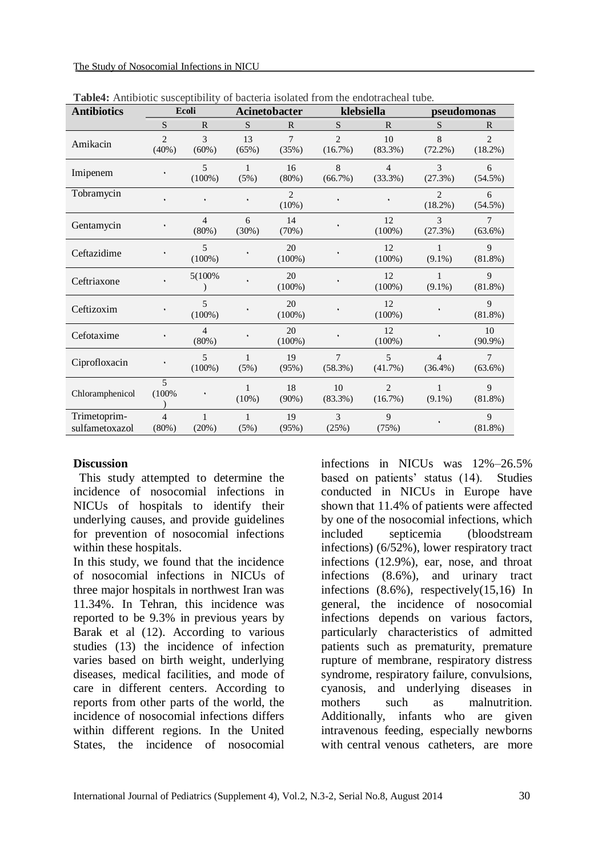| <b>Antibiotics</b>             | Ecoli                      |                         | Acinetobacter        |                 | klebsiella                   |                           | pseudomonas                  |                              |
|--------------------------------|----------------------------|-------------------------|----------------------|-----------------|------------------------------|---------------------------|------------------------------|------------------------------|
|                                | S                          | $\mathbb{R}$            | <sub>S</sub>         | $\mathbf{R}$    | <sub>S</sub>                 | R                         | S                            | $\mathbb{R}$                 |
| Amikacin                       | $\overline{c}$<br>(40%)    | 3<br>(60%)              | 13<br>(65%)          | $\tau$<br>(35%) | $\overline{2}$<br>(16.7%)    | 10<br>$(83.3\%)$          | 8<br>$(72.2\%)$              | $\overline{2}$<br>$(18.2\%)$ |
| Imipenem                       |                            | 5<br>$(100\%)$          | $\mathbf{1}$<br>(5%) | 16<br>(80%)     | 8<br>(66.7%)                 | $\overline{4}$<br>(33.3%) | 3<br>(27.3%)                 | 6<br>$(54.5\%)$              |
| Tobramycin                     |                            |                         |                      | 2<br>$(10\%)$   |                              |                           | 2<br>$(18.2\%)$              | 6<br>$(54.5\%)$              |
| Gentamycin                     |                            | $\overline{4}$<br>(80%) | 6<br>(30%)           | 14<br>(70%)     |                              | 12<br>(100%)              | 3<br>(27.3%)                 | $\tau$<br>$(63.6\%)$         |
| Ceftazidime                    |                            | 5<br>$(100\%)$          |                      | 20<br>$(100\%)$ |                              | 12<br>(100%)              | $\mathbf{1}$<br>$(9.1\%)$    | 9<br>$(81.8\%)$              |
| Ceftriaxone                    |                            | 5(100%                  |                      | 20<br>$(100\%)$ |                              | 12<br>(100%)              | $\mathbf{1}$<br>$(9.1\%)$    | $\mathbf Q$<br>(81.8%)       |
| Ceftizoxim                     |                            | 5<br>$(100\%)$          |                      | 20<br>$(100\%)$ |                              | 12<br>$(100\%)$           |                              | $\mathbf Q$<br>$(81.8\%)$    |
| Cefotaxime                     |                            | $\overline{4}$<br>(80%) |                      | 20<br>$(100\%)$ |                              | 12<br>$(100\%)$           |                              | 10<br>$(90.9\%)$             |
| Ciprofloxacin                  |                            | 5<br>$(100\%)$          | $\mathbf{1}$<br>(5%) | 19<br>(95%)     | $\overline{7}$<br>$(58.3\%)$ | 5<br>(41.7%)              | $\overline{4}$<br>$(36.4\%)$ | $\overline{7}$<br>$(63.6\%)$ |
| Chloramphenicol                | 5<br>(100%                 |                         | 1<br>(10%)           | 18<br>(90%)     | 10<br>(83.3%)                | $\overline{2}$<br>(16.7%) | $\mathbf{1}$<br>$(9.1\%)$    | 9<br>$(81.8\%)$              |
| Trimetoprim-<br>sulfametoxazol | $\overline{4}$<br>$(80\%)$ | 1<br>(20%)              | $\mathbf{1}$<br>(5%) | 19<br>(95%)     | 3<br>(25%)                   | 9<br>(75%)                |                              | 9<br>$(81.8\%)$              |

**Table4:** Antibiotic susceptibility of bacteria isolated from the endotracheal tube.

#### **Discussion**

This study attempted to determine the incidence of nosocomial infections in NICUs of hospitals to identify their underlying causes, and provide guidelines for prevention of nosocomial infections within these hospitals.

In this study, we found that the incidence of nosocomial infections in NICUs of three major hospitals in northwest Iran was 11.34%. In Tehran, this incidence was reported to be 9.3% in previous years by Barak et al (12). According to various studies (13) the incidence of infection varies based on birth weight, underlying diseases, medical facilities, and mode of care in different centers. According to reports from other parts of the world, the incidence of nosocomial infections differs within different regions. In the United States, the incidence of nosocomial

infections in NICUs was 12%–26.5% based on patients' status (14). Studies conducted in NICUs in Europe have shown that 11.4% of patients were affected by one of the nosocomial infections, which included septicemia (bloodstream infections) (6/52%), lower respiratory tract infections (12.9%), ear, nose, and throat infections (8.6%), and urinary tract infections (8.6%), respectively(15,16) In general, the incidence of nosocomial infections depends on various factors, particularly characteristics of admitted patients such as prematurity, premature rupture of membrane, respiratory distress syndrome, respiratory failure, convulsions, cyanosis, and underlying diseases in mothers such as malnutrition. Additionally, infants who are given intravenous feeding, especially newborns with central venous catheters, are more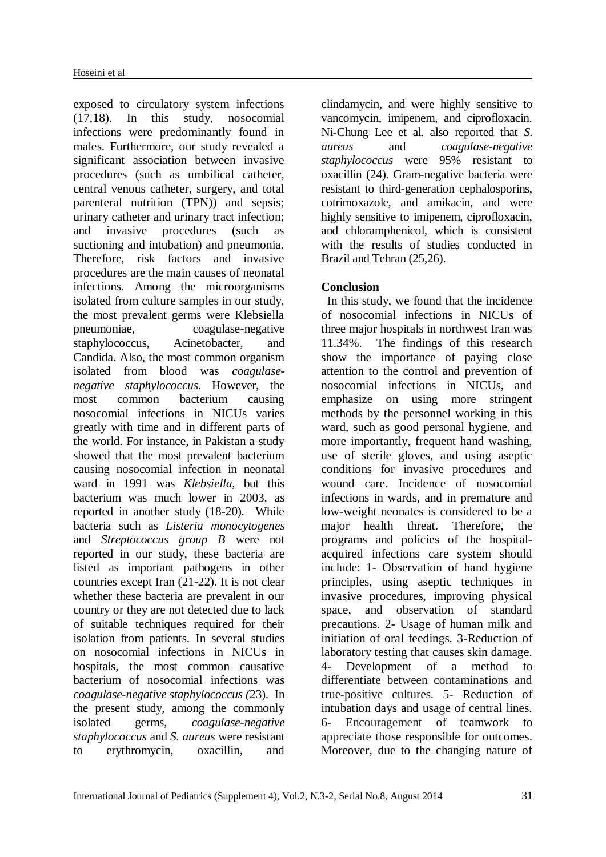exposed to circulatory system infections (17,18). In this study, nosocomial infections were predominantly found in males. Furthermore, our study revealed a significant association between invasive procedures (such as umbilical catheter, central venous catheter, surgery, and total parenteral nutrition (TPN)) and sepsis; urinary catheter and urinary tract infection; and invasive procedures (such as suctioning and intubation) and pneumonia. Therefore, risk factors and invasive procedures are the main causes of neonatal infections. Among the microorganisms isolated from culture samples in our study, the most prevalent germs were Klebsiella pneumoniae, coagulase-negative staphylococcus, Acinetobacter, and Candida. Also, the most common organism isolated from blood was *coagulasenegative staphylococcus*. However, the most common bacterium causing nosocomial infections in NICUs varies greatly with time and in different parts of the world. For instance, in Pakistan a study showed that the most prevalent bacterium causing nosocomial infection in neonatal ward in 1991 was *Klebsiella*, but this bacterium was much lower in 2003, as reported in another study (18-20). While bacteria such as *Listeria monocytogenes*  and *Streptococcus group B* were not reported in our study, these bacteria are listed as important pathogens in other countries except Iran (21-22). It is not clear whether these bacteria are prevalent in our country or they are not detected due to lack of suitable techniques required for their isolation from patients. In several studies on nosocomial infections in NICUs in hospitals, the most common causative bacterium of nosocomial infections was *coagulase-negative staphylococcus (*23). In the present study, among the commonly isolated germs, *coagulase-negative staphylococcus* and *S. aureus* were resistant to erythromycin, oxacillin, and clindamycin, and were highly sensitive to vancomycin, imipenem, and ciprofloxacin. Ni-Chung Lee et al. also reported that *S. aureus* and *coagulase-negative staphylococcus* were 95% resistant to oxacillin (24). Gram-negative bacteria were resistant to third-generation cephalosporins, cotrimoxazole, and amikacin, and were highly sensitive to imipenem, ciprofloxacin, and chloramphenicol, which is consistent with the results of studies conducted in Brazil and Tehran (25,26).

# **Conclusion**

In this study, we found that the incidence of nosocomial infections in NICUs of three major hospitals in northwest Iran was 11.34%. The findings of this research show the importance of paying close attention to the control and prevention of nosocomial infections in NICUs, and emphasize on using more stringent methods by the personnel working in this ward, such as good personal hygiene, and more importantly, frequent hand washing, use of sterile gloves, and using aseptic conditions for invasive procedures and wound care. Incidence of nosocomial infections in wards, and in premature and low-weight neonates is considered to be a major health threat. Therefore, the programs and policies of the hospitalacquired infections care system should include: 1- Observation of hand hygiene principles, using aseptic techniques in invasive procedures, improving physical space, and observation of standard precautions. 2- Usage of human milk and initiation of oral feedings. 3-Reduction of laboratory testing that causes skin damage. 4- Development of a method to differentiate between contaminations and true-positive cultures. 5- Reduction of intubation days and usage of central lines. 6- Encouragement of teamwork to appreciate those responsible for outcomes. Moreover, due to the changing nature of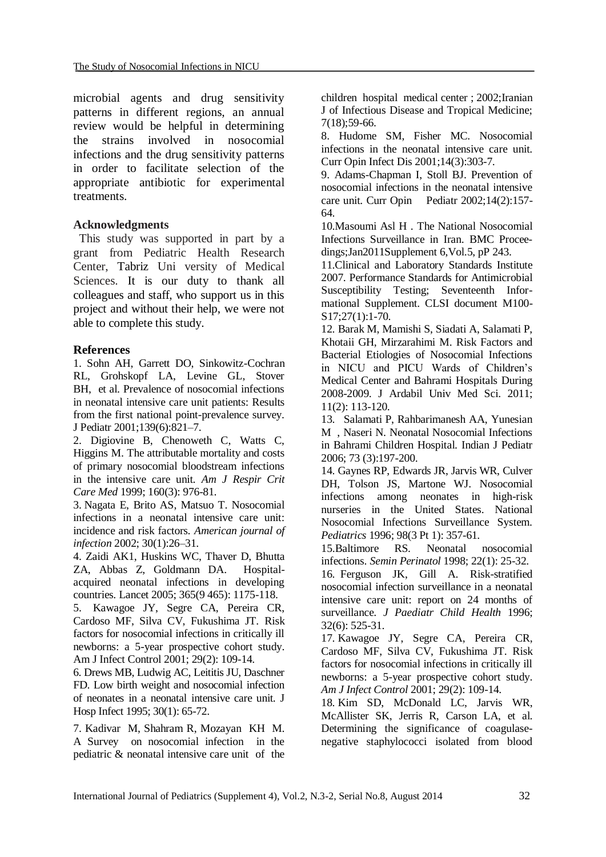microbial agents and drug sensitivity patterns in different regions, an annual review would be helpful in determining the strains involved in nosocomial infections and the drug sensitivity patterns in order to facilitate selection of the appropriate antibiotic for experimental treatments.

#### **Acknowledgments**

This study was supported in part by a grant from Pediatric Health Research Center, Tabriz Uni versity of Medical Sciences. It is our duty to thank all colleagues and staff, who support us in this project and without their help, we were not able to complete this study.

#### **References**

1. Sohn AH, Garrett DO, Sinkowitz-Cochran RL, Grohskopf LA, Levine GL, Stover BH, et al. Prevalence of nosocomial infections in neonatal intensive care unit patients: Results from the first national point-prevalence survey. J Pediatr 2001;139(6):821–7.

2. Digiovine B, Chenoweth C, Watts C, Higgins M. The attributable mortality and costs of primary nosocomial bloodstream infections in the intensive care unit. *Am J Respir Crit Care Med* 1999; 160(3): 976-81.

3. [Nagata E,](http://www.ncbi.nlm.nih.gov/pubmed?term=Nagata%20E%5BAuthor%5D&cauthor=true&cauthor_uid=11852413) [Brito AS,](http://www.ncbi.nlm.nih.gov/pubmed?term=Brito%20AS%5BAuthor%5D&cauthor=true&cauthor_uid=11852413) [Matsuo T.](http://www.ncbi.nlm.nih.gov/pubmed?term=Matsuo%20T%5BAuthor%5D&cauthor=true&cauthor_uid=11852413) Nosocomial infections in a neonatal intensive care unit: incidence and risk factors. *American journal of infection* 2002; 30(1):26–31.

4. [Zaidi AK1](http://www.ncbi.nlm.nih.gov/pubmed?term=Zaidi%20AK%5BAuthor%5D&cauthor=true&cauthor_uid=15794973), [Huskins WC,](http://www.ncbi.nlm.nih.gov/pubmed?term=Huskins%20WC%5BAuthor%5D&cauthor=true&cauthor_uid=15794973) [Thaver D,](http://www.ncbi.nlm.nih.gov/pubmed?term=Thaver%20D%5BAuthor%5D&cauthor=true&cauthor_uid=15794973) [Bhutta](http://www.ncbi.nlm.nih.gov/pubmed?term=Bhutta%20ZA%5BAuthor%5D&cauthor=true&cauthor_uid=15794973)  [ZA,](http://www.ncbi.nlm.nih.gov/pubmed?term=Bhutta%20ZA%5BAuthor%5D&cauthor=true&cauthor_uid=15794973) [Abbas Z,](http://www.ncbi.nlm.nih.gov/pubmed?term=Abbas%20Z%5BAuthor%5D&cauthor=true&cauthor_uid=15794973) [Goldmann DA.](http://www.ncbi.nlm.nih.gov/pubmed?term=Goldmann%20DA%5BAuthor%5D&cauthor=true&cauthor_uid=15794973) Hospitalacquired neonatal infections in developing countries. Lancet 2005; 365(9 465): 1175-118.

5. Kawagoe JY, Segre CA, Pereira CR, Cardoso MF, Silva CV, Fukushima JT. Risk factors for nosocomial infections in critically ill newborns: a 5-year prospective cohort study. Am J Infect Control 2001; 29(2): 109-14.

6. Drews MB, Ludwig AC, Leititis JU, Daschner FD. Low birth weight and nosocomial infection of neonates in a neonatal intensive care unit. J Hosp Infect 1995; 30(1): 65-72.

7. Kadivar M, Shahram R, Mozayan KH M. A Survey on nosocomial infection in the pediatric & neonatal intensive care unit of the

children hospital medical center ; 2002;Iranian J of Infectious Disease and Tropical Medicine; 7(18);59-66.

8. Hudome SM, Fisher MC. Nosocomial infections in the neonatal intensive care unit. Curr Opin Infect Dis 2001;14(3):303-7.

9. Adams-Chapman I, Stoll BJ. Prevention of nosocomial infections in the neonatal intensive care unit. Curr Opin Pediatr 2002;14(2):157- 64.

10.Masoumi Asl H . The National Nosocomial Infections Surveillance in Iran. BMC Proceedings;Jan2011Supplement 6,Vol.5, pP 243.

11.Clinical and Laboratory Standards Institute 2007. Performance Standards for Antimicrobial Susceptibility Testing; Seventeenth Informational Supplement. CLSI document M100- S17;27(1):1-70.

12. Barak M, Mamishi S, Siadati A, Salamati P, Khotaii GH, Mirzarahimi M. Risk Factors and Bacterial Etiologies of Nosocomial Infections in NICU and PICU Wards of Children's Medical Center and Bahrami Hospitals During 2008-2009. J Ardabil Univ Med Sci. 2011; 11(2): 113-120.

13. Salamati P, Rahbarimanesh AA, Yunesian M , Naseri N. Neonatal Nosocomial Infections in Bahrami Children Hospital. Indian J Pediatr 2006; 73 (3):197-200.

14. Gaynes RP, Edwards JR, Jarvis WR, [Culver](http://www.ncbi.nlm.nih.gov/pubmed?term=Culver%20DH%5BAuthor%5D&cauthor=true&cauthor_uid=8784356)  [DH,](http://www.ncbi.nlm.nih.gov/pubmed?term=Culver%20DH%5BAuthor%5D&cauthor=true&cauthor_uid=8784356) [Tolson JS,](http://www.ncbi.nlm.nih.gov/pubmed?term=Tolson%20JS%5BAuthor%5D&cauthor=true&cauthor_uid=8784356) [Martone WJ.](http://www.ncbi.nlm.nih.gov/pubmed?term=Martone%20WJ%5BAuthor%5D&cauthor=true&cauthor_uid=8784356) Nosocomial infections among neonates in high-risk nurseries in the United States. National Nosocomial Infections Surveillance System. *Pediatrics* 1996; 98(3 Pt 1): 357-61.

15.Baltimore RS. Neonatal nosocomial infections. *Semin Perinatol* 1998; 22(1): 25-32.

16. Ferguson JK, Gill A. Risk-stratified nosocomial infection surveillance in a neonatal intensive care unit: report on 24 months of surveillance. *J Paediatr Child Health* 1996; 32(6): 525-31.

17. [Kawagoe JY,](http://www.ncbi.nlm.nih.gov/pubmed?term=Kawagoe%20JY%5BAuthor%5D&cauthor=true&cauthor_uid=11287879) [Segre CA,](http://www.ncbi.nlm.nih.gov/pubmed?term=Segre%20CA%5BAuthor%5D&cauthor=true&cauthor_uid=11287879) [Pereira CR,](http://www.ncbi.nlm.nih.gov/pubmed?term=Pereira%20CR%5BAuthor%5D&cauthor=true&cauthor_uid=11287879) [Cardoso MF,](http://www.ncbi.nlm.nih.gov/pubmed?term=Cardoso%20MF%5BAuthor%5D&cauthor=true&cauthor_uid=11287879) [Silva CV,](http://www.ncbi.nlm.nih.gov/pubmed?term=Silva%20CV%5BAuthor%5D&cauthor=true&cauthor_uid=11287879) [Fukushima JT.](http://www.ncbi.nlm.nih.gov/pubmed?term=Fukushima%20JT%5BAuthor%5D&cauthor=true&cauthor_uid=11287879) Risk factors for nosocomial infections in critically ill newborns: a 5-year prospective cohort study. *Am J Infect Control* 2001; 29(2): 109-14.

18. [Kim SD,](http://www.ncbi.nlm.nih.gov/pubmed?term=Kim%20SD%5BAuthor%5D&cauthor=true&cauthor_uid=10738993) [McDonald LC,](http://www.ncbi.nlm.nih.gov/pubmed?term=McDonald%20LC%5BAuthor%5D&cauthor=true&cauthor_uid=10738993) [Jarvis WR,](http://www.ncbi.nlm.nih.gov/pubmed?term=Jarvis%20WR%5BAuthor%5D&cauthor=true&cauthor_uid=10738993) [McAllister SK,](http://www.ncbi.nlm.nih.gov/pubmed?term=McAllister%20SK%5BAuthor%5D&cauthor=true&cauthor_uid=10738993) [Jerris R,](http://www.ncbi.nlm.nih.gov/pubmed?term=Jerris%20R%5BAuthor%5D&cauthor=true&cauthor_uid=10738993) [Carson LA,](http://www.ncbi.nlm.nih.gov/pubmed?term=Carson%20LA%5BAuthor%5D&cauthor=true&cauthor_uid=10738993) et al. Determining the significance of coagulasenegative staphylococci isolated from blood